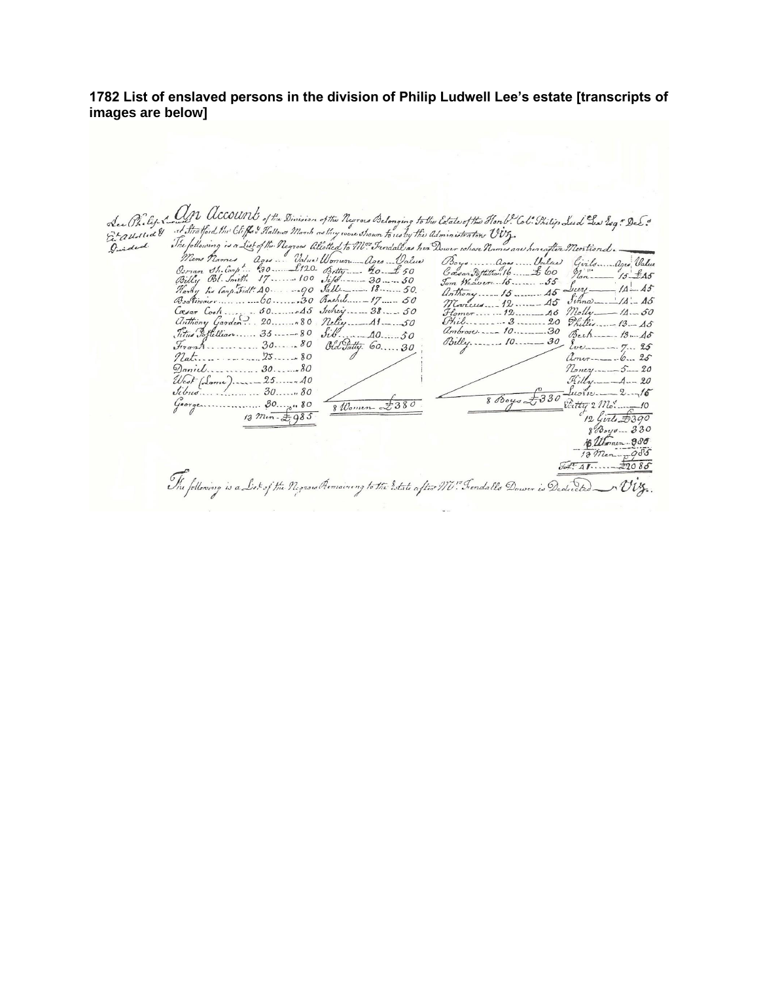## **1782 List of enslaved persons in the division of Philip Ludwell Lee's estate [transcripts of images are below]**

| See (Pieby Low and UCOUN) of the Division of the Neuroes Belonging to the Estate of the Hond. Col: Thilip Leed Les Esq." De E.<br>Et a Ust to a <sup>1</sup> it Stratford the Cliffe's Hallows Manh as they wous shown to us by the Union                  |                                                   |
|------------------------------------------------------------------------------------------------------------------------------------------------------------------------------------------------------------------------------------------------------------|---------------------------------------------------|
|                                                                                                                                                                                                                                                            |                                                   |
|                                                                                                                                                                                                                                                            |                                                   |
|                                                                                                                                                                                                                                                            |                                                   |
|                                                                                                                                                                                                                                                            |                                                   |
|                                                                                                                                                                                                                                                            |                                                   |
|                                                                                                                                                                                                                                                            | $5\sigma$ Western 16.  55                         |
| Hartly his Carp. Fidt: A.O.   90 Sall  18 50.                                                                                                                                                                                                              | anthony 15 As Lucy 11 - 15                        |
| Bookinguer 60.0000000 Rachel 17 50                                                                                                                                                                                                                         | $Jthn\omega$ - $14 - 45$<br>$M$ Carcels $12$ $45$ |
| Unthony Garden. 20 80 Nelly. 41.50                                                                                                                                                                                                                         | $H_{\text{omor}} = 12 46$ Molly $-14.50$          |
| Titus Bottellion. 35. 35. 80 Sib. 40. 50                                                                                                                                                                                                                   |                                                   |
| $J_{12}$ $J_{13}$ $J_{14}$ $J_{15}$ $J_{16}$ $J_{17}$ $J_{18}$ $J_{19}$ $J_{10}$ $J_{10}$ $J_{10}$ $J_{11}$ $J_{10}$ $J_{11}$ $J_{10}$ $J_{11}$ $J_{10}$ $J_{11}$ $J_{10}$ $J_{11}$ $J_{10}$ $J_{11}$ $J_{10}$ $J_{11}$ $J_{10}$ $J_{11}$ $J_{10}$ $J_{11$ |                                                   |
| Old Patty. 60.  30                                                                                                                                                                                                                                         |                                                   |
| $\eta_{at}$ 80                                                                                                                                                                                                                                             | Amer----6  25                                     |
|                                                                                                                                                                                                                                                            | $n_{\text{max}} = 5 - 20$                         |
|                                                                                                                                                                                                                                                            | $Rilly$ —— $A$ —— $20$                            |
|                                                                                                                                                                                                                                                            | $\frac{1}{100}$                                   |
| 8 Women £380                                                                                                                                                                                                                                               | 800y0t<br>$ext_{72}$ $m_{\circ}$ $10$             |
|                                                                                                                                                                                                                                                            | $12$ Girls $\pm 390$                              |
|                                                                                                                                                                                                                                                            | $8\%$ out - 330                                   |
|                                                                                                                                                                                                                                                            | B. Women 980                                      |
|                                                                                                                                                                                                                                                            | $18.27$ $cm - 905$                                |
|                                                                                                                                                                                                                                                            | 97.4122086                                        |
|                                                                                                                                                                                                                                                            |                                                   |
| The following is a List of the Negrous Remaining to the Estate after M. Fendallo Dower is Dedicted                                                                                                                                                         |                                                   |
|                                                                                                                                                                                                                                                            |                                                   |
|                                                                                                                                                                                                                                                            |                                                   |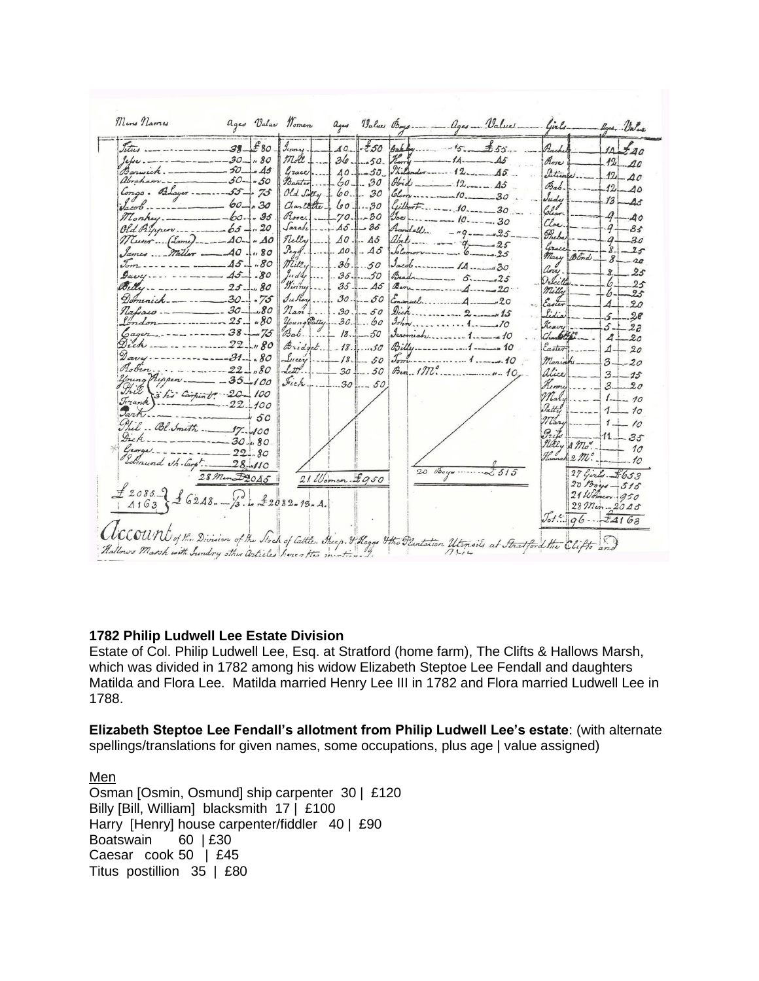

### **1782 Philip Ludwell Lee Estate Division**

Estate of Col. Philip Ludwell Lee, Esq. at Stratford (home farm), The Clifts & Hallows Marsh, which was divided in 1782 among his widow Elizabeth Steptoe Lee Fendall and daughters Matilda and Flora Lee. Matilda married Henry Lee III in 1782 and Flora married Ludwell Lee in 1788.

**Elizabeth Steptoe Lee Fendall's allotment from Philip Ludwell Lee's estate**: (with alternate spellings/translations for given names, some occupations, plus age | value assigned)

Men Osman [Osmin, Osmund] ship carpenter 30 | £120 Billy [Bill, William] blacksmith 17 | £100 Harry [Henry] house carpenter/fiddler 40 | £90 Boatswain 60 | £30 Caesar cook 50 | £45 Titus postillion 35 | £80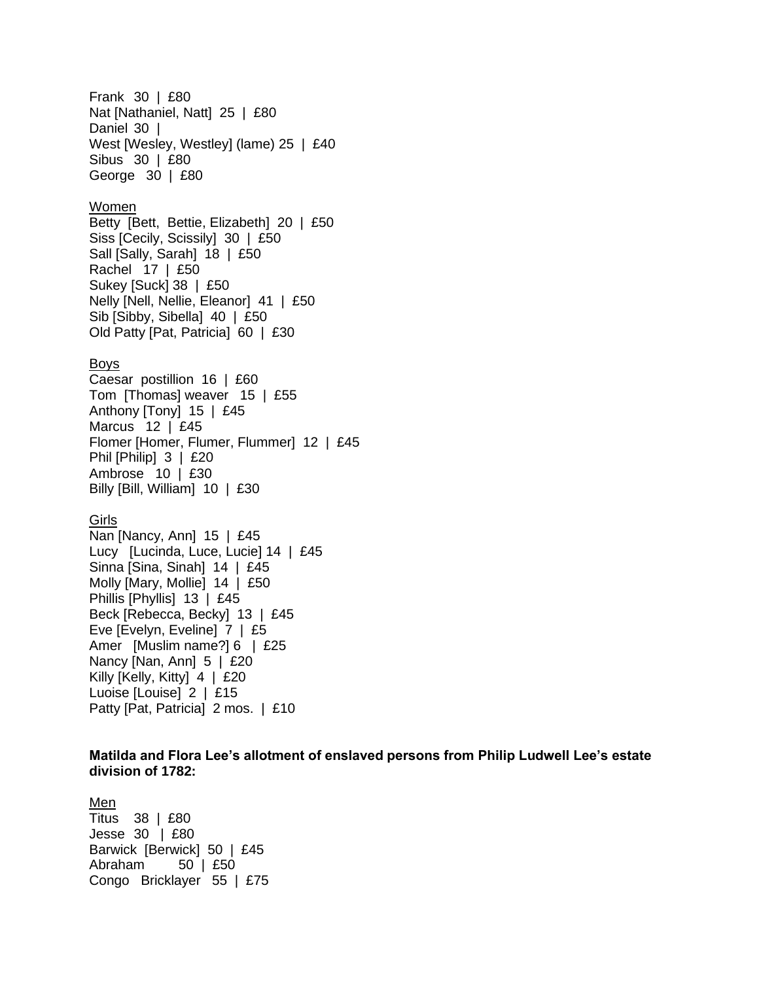Frank 30 | £80 Nat [Nathaniel, Natt] 25 | £80 Daniel 30 | West [Wesley, Westley] (lame) 25 | £40 Sibus 30 | £80 George 30 | £80

#### Women

Betty [Bett, Bettie, Elizabeth] 20 | £50 Siss [Cecily, Scissily] 30 | £50 Sall [Sally, Sarah] 18 | £50 Rachel 17 | £50 Sukey [Suck] 38 | £50 Nelly [Nell, Nellie, Eleanor] 41 | £50 Sib [Sibby, Sibella] 40 | £50 Old Patty [Pat, Patricia] 60 | £30

#### Boys

Caesar postillion 16 | £60 Tom [Thomas] weaver 15 | £55 Anthony [Tony] 15 | £45 Marcus 12 | £45 Flomer [Homer, Flumer, Flummer] 12 | £45 Phil [Philip] 3 | £20 Ambrose 10 | £30 Billy [Bill, William] 10 | £30

#### Girls

Nan [Nancy, Ann] 15 | £45 Lucy [Lucinda, Luce, Lucie] 14 | £45 Sinna [Sina, Sinah] 14 | £45 Molly [Mary, Mollie] 14 | £50 Phillis [Phyllis] 13 | £45 Beck [Rebecca, Becky] 13 | £45 Eve [Evelyn, Eveline] 7 | £5 Amer [Muslim name?] 6 | £25 Nancy [Nan, Ann] 5 | £20 Killy [Kelly, Kitty] 4 | £20 Luoise [Louise] 2 | £15 Patty [Pat, Patricia] 2 mos. | £10

### **Matilda and Flora Lee's allotment of enslaved persons from Philip Ludwell Lee's estate division of 1782:**

#### Men

Titus 38 | £80 Jesse 30 | £80 Barwick [Berwick] 50 | £45 Abraham 50 | £50 Congo Bricklayer 55 | £75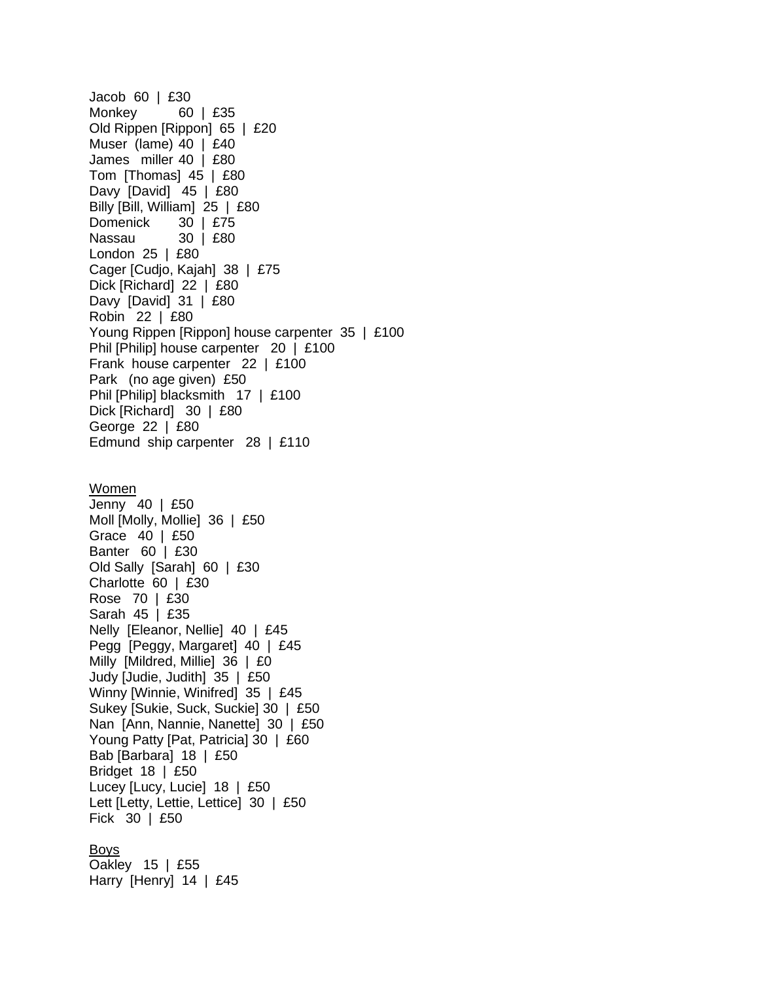Jacob 60 | £30 Monkey 60 | £35 Old Rippen [Rippon] 65 | £20 Muser (lame) 40 | £40 James miller 40 | £80 Tom [Thomas] 45 | £80 Davy [David] 45 | £80 Billy [Bill, William] 25 | £80 Domenick 30 | £75 Nassau 30 | £80 London 25 | £80 Cager [Cudjo, Kajah] 38 | £75 Dick [Richard] 22 | £80 Davy [David] 31 | £80 Robin 22 | £80 Young Rippen [Rippon] house carpenter 35 | £100 Phil [Philip] house carpenter 20 | £100 Frank house carpenter 22 | £100 Park (no age given) £50 Phil [Philip] blacksmith 17 | £100 Dick [Richard] 30 | £80 George 22 | £80 Edmund ship carpenter 28 | £110 Women Jenny 40 | £50 Moll [Molly, Mollie] 36 | £50 Grace 40 | £50 Banter 60 | £30 Old Sally [Sarah] 60 | £30 Charlotte 60 | £30 Rose 70 | £30 Sarah 45 | £35 Nelly [Eleanor, Nellie] 40 | £45 Pegg [Peggy, Margaret] 40 | £45 Milly [Mildred, Millie] 36 | £0 Judy [Judie, Judith] 35 | £50 Winny [Winnie, Winifred] 35 | £45 Sukey [Sukie, Suck, Suckie] 30 | £50 Nan [Ann, Nannie, Nanette] 30 | £50 Young Patty [Pat, Patricia] 30 | £60 Bab [Barbara] 18 | £50 Bridget 18 | £50 Lucey [Lucy, Lucie] 18 | £50 Lett [Letty, Lettie, Lettice] 30 | £50 Fick 30 | £50 Boys Oakley 15 | £55 Harry [Henry] 14 | £45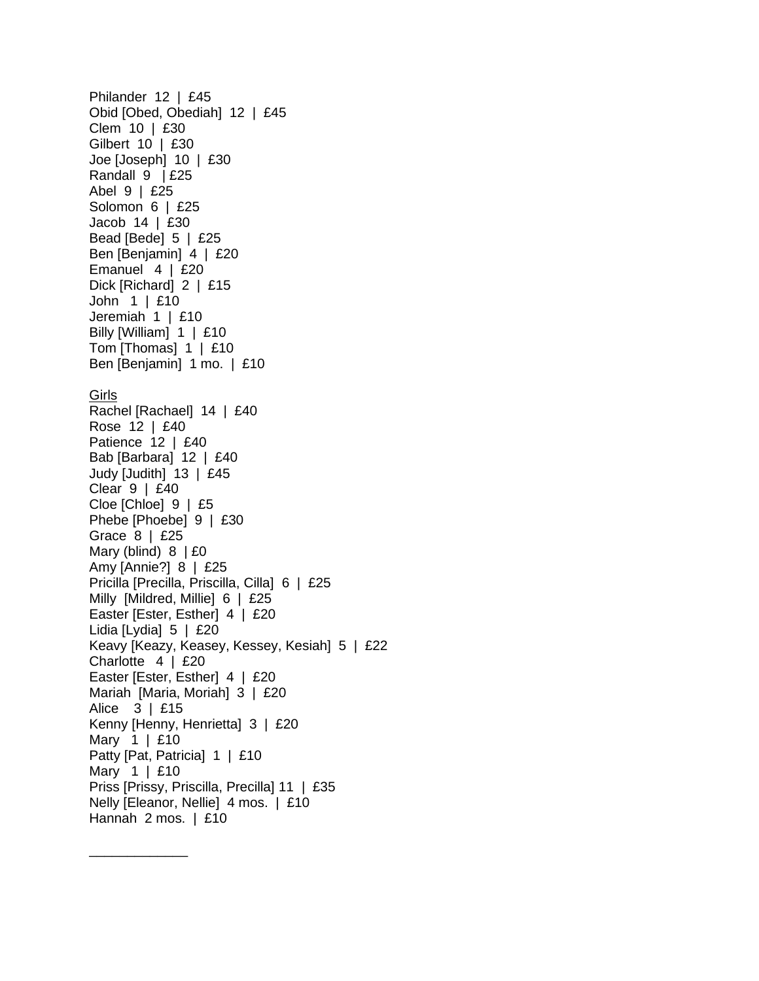Philander 12 | £45 Obid [Obed, Obediah] 12 | £45 Clem 10 | £30 Gilbert 10 | £30 Joe [Joseph] 10 | £30 Randall 9 | £25 Abel 9 | £25 Solomon 6 | £25 Jacob 14 | £30 Bead [Bede] 5 | £25 Ben [Benjamin] 4 | £20 Emanuel 4 | £20 Dick [Richard] 2 | £15 John 1 | £10 Jeremiah 1 | £10 Billy [William] 1 | £10 Tom [Thomas] 1 | £10 Ben [Benjamin] 1 mo. | £10 Girls Rachel [Rachael] 14 | £40 Rose 12 | £40 Patience 12 | £40 Bab [Barbara] 12 | £40 Judy [Judith] 13 | £45 Clear 9 | £40 Cloe [Chloe] 9 | £5 Phebe [Phoebe] 9 | £30 Grace 8 | £25 Mary (blind) 8 | £0 Amy [Annie?] 8 | £25 Pricilla [Precilla, Priscilla, Cilla] 6 | £25 Milly [Mildred, Millie] 6 | £25 Easter [Ester, Esther] 4 | £20 Lidia [Lydia] 5 | £20 Keavy [Keazy, Keasey, Kessey, Kesiah] 5 | £22 Charlotte 4 | £20 Easter [Ester, Esther] 4 | £20 Mariah [Maria, Moriah] 3 | £20 Alice 3 | £15 Kenny [Henny, Henrietta] 3 | £20 Mary 1 | £10 Patty [Pat, Patricia] 1 | £10 Mary 1 | £10 Priss [Prissy, Priscilla, Precilla] 11 | £35 Nelly [Eleanor, Nellie] 4 mos. | £10 Hannah 2 mos. | £10

\_\_\_\_\_\_\_\_\_\_\_\_\_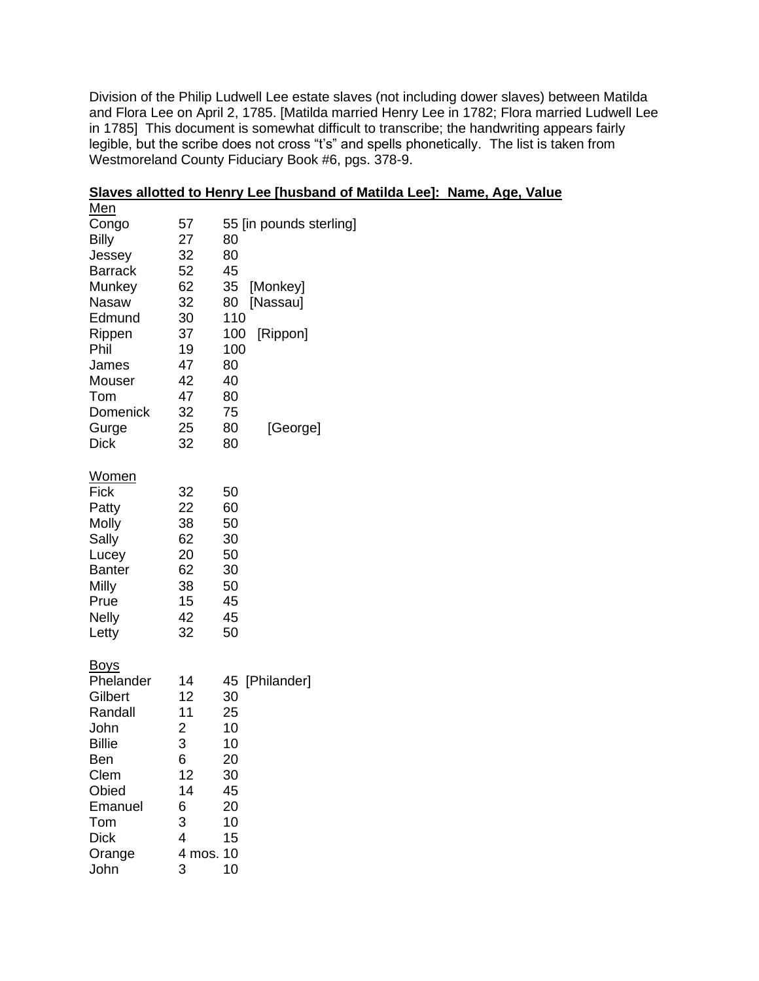Division of the Philip Ludwell Lee estate slaves (not including dower slaves) between Matilda and Flora Lee on April 2, 1785. [Matilda married Henry Lee in 1782; Flora married Ludwell Lee in 1785] This document is somewhat difficult to transcribe; the handwriting appears fairly legible, but the scribe does not cross "t's" and spells phonetically. The list is taken from Westmoreland County Fiduciary Book #6, pgs. 378-9.

| 57 | 55 [in pounds sterling]                                                                                                                      |
|----|----------------------------------------------------------------------------------------------------------------------------------------------|
|    | 80                                                                                                                                           |
| 32 | 80                                                                                                                                           |
| 52 | 45                                                                                                                                           |
| 62 | [Monkey]<br>35                                                                                                                               |
| 32 | 80<br>[Nassau]                                                                                                                               |
| 30 | 110                                                                                                                                          |
| 37 | 100<br>[Rippon]                                                                                                                              |
| 19 | 100                                                                                                                                          |
| 47 | 80                                                                                                                                           |
| 42 | 40                                                                                                                                           |
| 47 | 80                                                                                                                                           |
| 32 | 75                                                                                                                                           |
| 25 | 80<br>[George]                                                                                                                               |
| 32 | 80                                                                                                                                           |
|    |                                                                                                                                              |
|    |                                                                                                                                              |
|    | 50                                                                                                                                           |
|    | 60                                                                                                                                           |
|    | 50                                                                                                                                           |
|    | 30                                                                                                                                           |
|    | 50                                                                                                                                           |
|    | 30                                                                                                                                           |
|    | 50                                                                                                                                           |
|    | 45                                                                                                                                           |
|    | 45                                                                                                                                           |
|    | 50                                                                                                                                           |
|    |                                                                                                                                              |
|    | 45 [Philander]                                                                                                                               |
|    | 30                                                                                                                                           |
|    | 25                                                                                                                                           |
|    | 10                                                                                                                                           |
|    | 10                                                                                                                                           |
|    | 20                                                                                                                                           |
| 12 | 30                                                                                                                                           |
| 14 | 45                                                                                                                                           |
|    | 20                                                                                                                                           |
|    | 10                                                                                                                                           |
| 4  | 15                                                                                                                                           |
|    |                                                                                                                                              |
|    | 27<br>32<br>22<br>38<br>62<br>20<br>62<br>38<br>15<br>42<br>32<br>14<br>12<br>11<br>$\overline{\mathbf{c}}$<br>3<br>6<br>6<br>3<br>4 mos. 10 |

John 3 10

|     |  | Slaves allotted to Henry Lee [husband of Matilda Lee]: Name, Age, Value |  |  |  |
|-----|--|-------------------------------------------------------------------------|--|--|--|
| . . |  |                                                                         |  |  |  |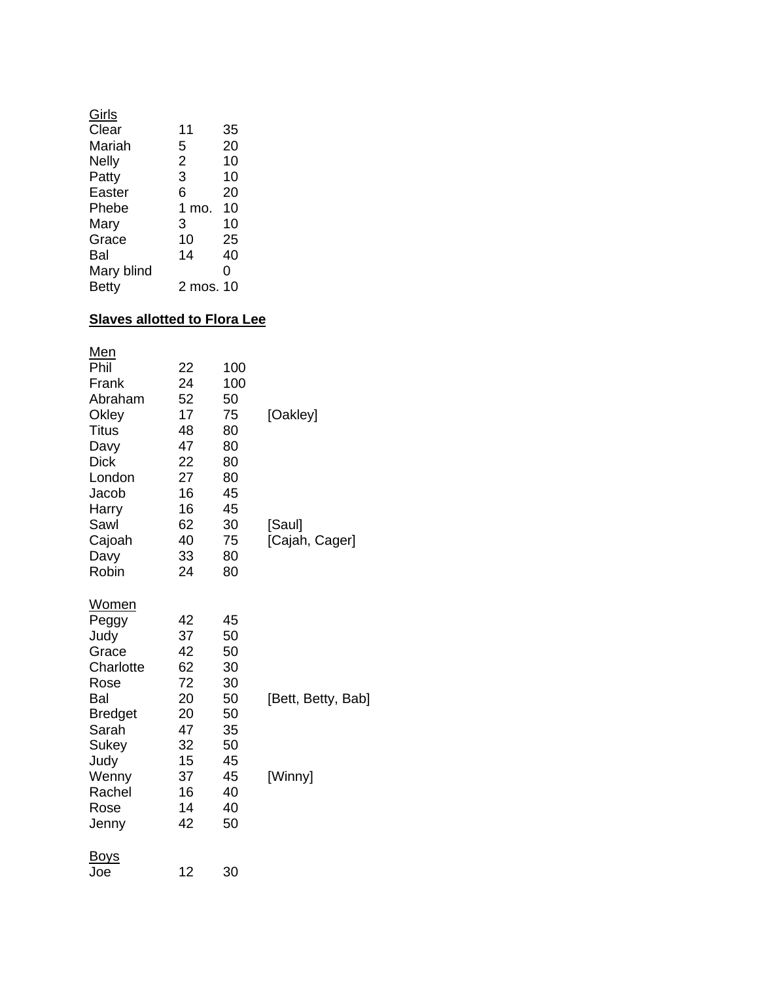| Girls        |          |    |
|--------------|----------|----|
| Clear        | 11       | 35 |
| Mariah       | 5        | 20 |
| <b>Nelly</b> | 2        | 10 |
| Patty        | 3        | 10 |
| Easter       | 6        | 20 |
| Phebe        | 1<br>mo. | 10 |
| Mary         | 3        | 10 |
| Grace        | 10       | 25 |
| Bal          | 14       | 40 |
| Mary blind   |          | ი  |
| Betty        | 2 mos.   | 10 |

# **Slaves allotted to Flora Lee**

| <u>Men</u>     |    |     |                    |
|----------------|----|-----|--------------------|
| Phil           | 22 | 100 |                    |
| Frank          | 24 | 100 |                    |
| Abraham        | 52 | 50  |                    |
| Okley          | 17 | 75  | [Oakley]           |
| <b>Titus</b>   | 48 | 80  |                    |
| Davy           | 47 | 80  |                    |
| <b>Dick</b>    | 22 | 80  |                    |
| London         | 27 | 80  |                    |
| Jacob          | 16 | 45  |                    |
| Harry          | 16 | 45  |                    |
| Sawl           | 62 | 30  | [Saul]             |
| Cajoah         | 40 | 75  | [Cajah, Cager]     |
| Davy           | 33 | 80  |                    |
| Robin          | 24 | 80  |                    |
| Women          |    |     |                    |
| Peggy          | 42 | 45  |                    |
| Judy           | 37 | 50  |                    |
| Grace          | 42 | 50  |                    |
| Charlotte      | 62 | 30  |                    |
| Rose           | 72 | 30  |                    |
| Bal            | 20 | 50  | [Bett, Betty, Bab] |
| <b>Bredget</b> | 20 | 50  |                    |
| Sarah          | 47 | 35  |                    |
| Sukey          | 32 | 50  |                    |
| Judy           | 15 | 45  |                    |
| Wenny          | 37 | 45  | [Winny]            |
| Rachel         | 16 | 40  |                    |
| Rose           | 14 | 40  |                    |
| Jenny          | 42 | 50  |                    |
| <u>Boys</u>    |    |     |                    |
| Joe            | 12 | 30  |                    |